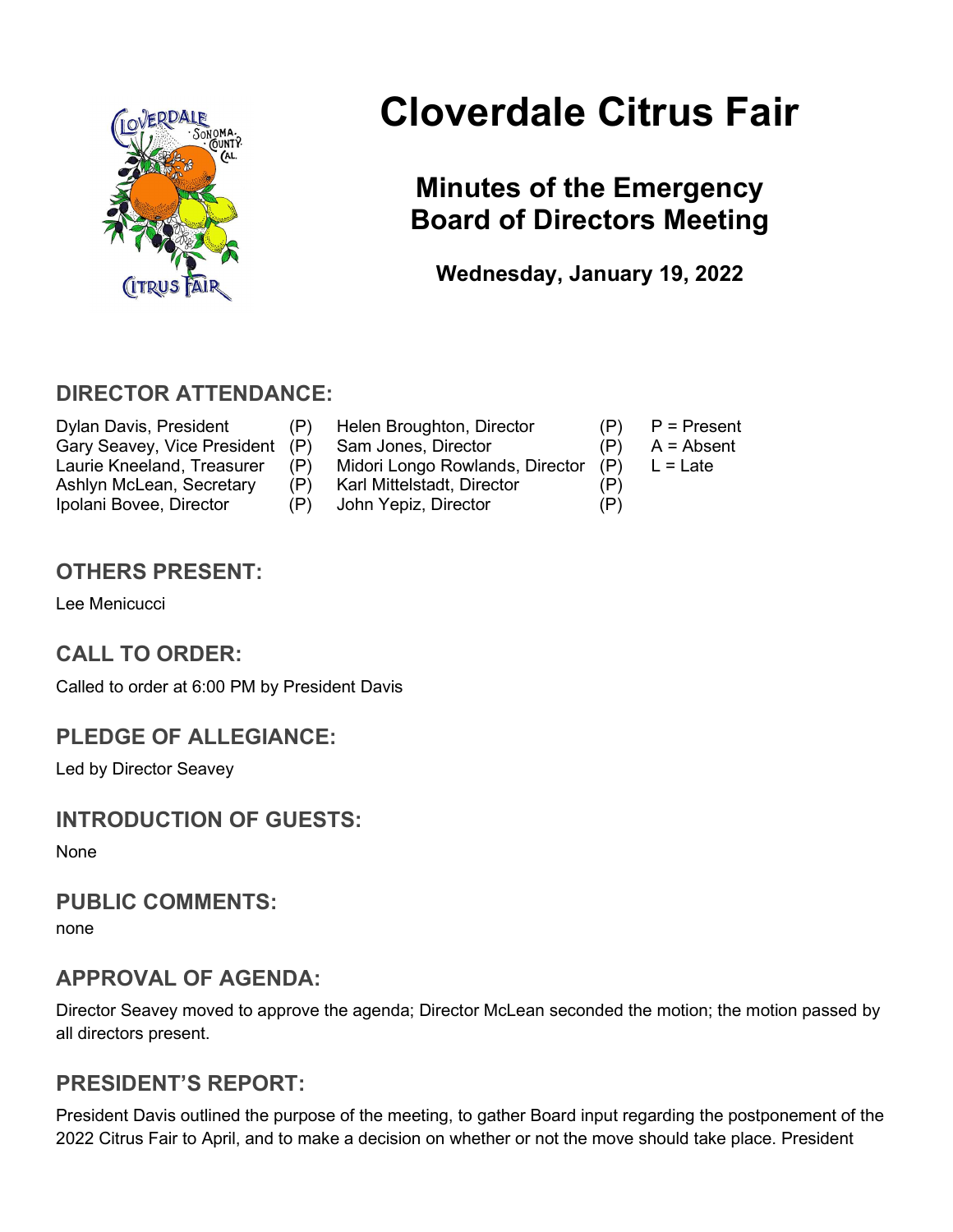

# Cloverdale Citrus Fair

# Minutes of the Emergency Board of Directors Meeting

Wednesday, January 19, 2022

## DIRECTOR ATTENDANCE:

Dylan Davis, President (P) Helen Broughton, Director (P) P = Present Gary Seavey, Vice President (P) Sam Jones, Director (P) A = Absent Laurie Kneeland, Treasurer (P) Midori Longo Rowlands, Director (P) L = Late Ashlyn McLean, Secretary (P) Karl Mittelstadt, Director (P) Ipolani Bovee, Director (P) John Yepiz, Director (P)

- 
- -
- 

#### OTHERS PRESENT:

Lee Menicucci

#### CALL TO ORDER:

Called to order at 6:00 PM by President Davis

#### PLEDGE OF ALLEGIANCE:

Led by Director Seavey

#### INTRODUCTION OF GUESTS:

None

#### PUBLIC COMMENTS:

none

#### APPROVAL OF AGENDA:

Director Seavey moved to approve the agenda; Director McLean seconded the motion; the motion passed by all directors present.

#### PRESIDENT'S REPORT:

President Davis outlined the purpose of the meeting, to gather Board input regarding the postponement of the 2022 Citrus Fair to April, and to make a decision on whether or not the move should take place. President